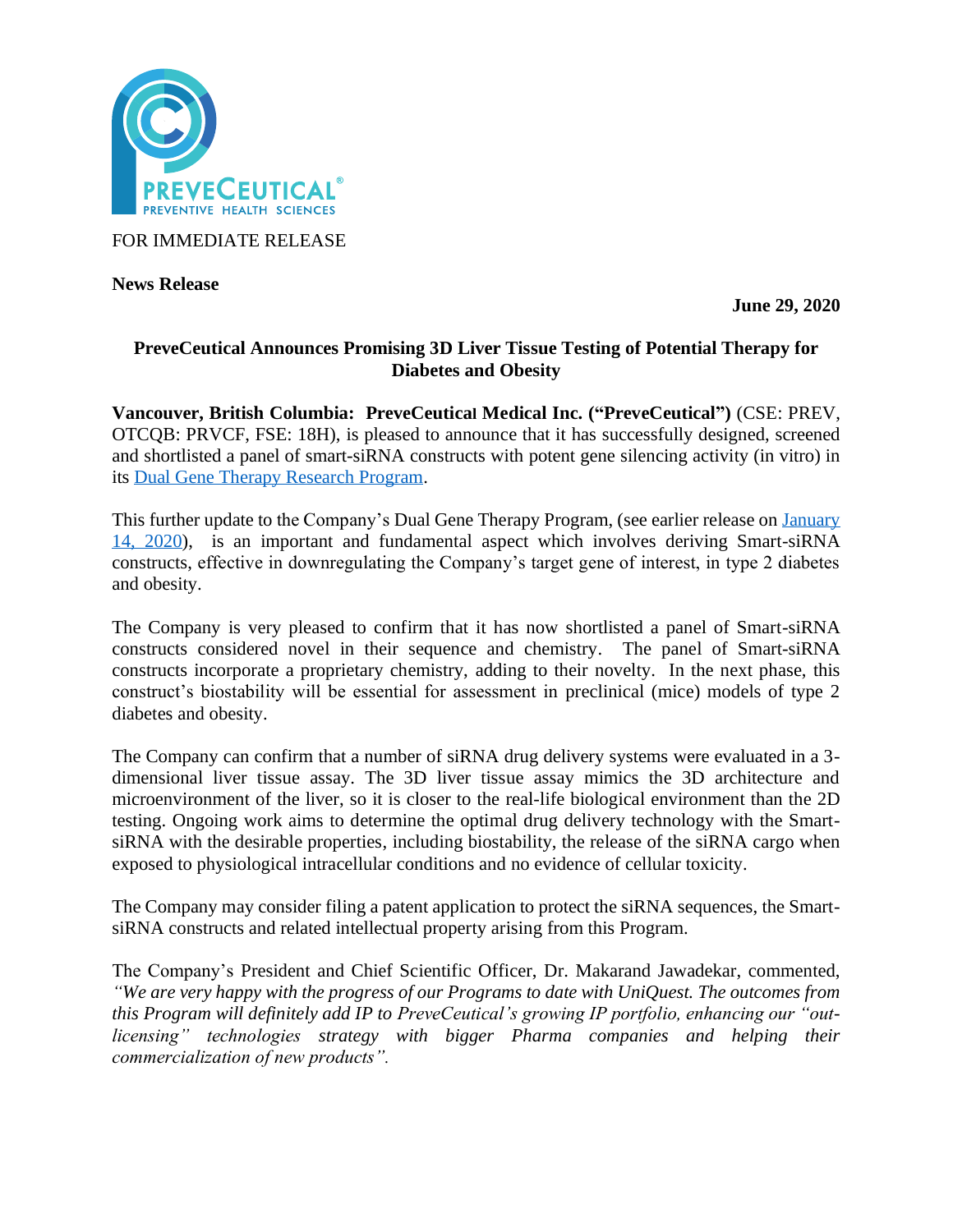

FOR IMMEDIATE RELEASE

**News Release** 

**June 29, 2020**

# **PreveCeutical Announces Promising 3D Liver Tissue Testing of Potential Therapy for Diabetes and Obesity**

**Vancouver, British Columbia: PreveCeutical Medical Inc. ("PreveCeutical")** (CSE: PREV, OTCQB: PRVCF, FSE: 18H), is pleased to announce that it has successfully designed, screened and shortlisted a panel of smart-siRNA constructs with potent gene silencing activity (in vitro) in its [Dual Gene Therapy Research Program.](https://www.preveceutical.com/pipeline/dual-gene-therapy/)

This further update to the Company's Dual Gene Therapy Program, (see earlier release on [January](https://www.preveceutical.com/investors/news/preveceutical-announces-further-updates-to-the-successful-engineering--cell-based-efficacy-screening-of-its-smart-sirna-constructs-for-its-dual-gene-therapy-research-program)  [14, 2020\)](https://www.preveceutical.com/investors/news/preveceutical-announces-further-updates-to-the-successful-engineering--cell-based-efficacy-screening-of-its-smart-sirna-constructs-for-its-dual-gene-therapy-research-program), is an important and fundamental aspect which involves deriving Smart-siRNA constructs, effective in downregulating the Company's target gene of interest, in type 2 diabetes and obesity.

The Company is very pleased to confirm that it has now shortlisted a panel of Smart-siRNA constructs considered novel in their sequence and chemistry. The panel of Smart-siRNA constructs incorporate a proprietary chemistry, adding to their novelty. In the next phase, this construct's biostability will be essential for assessment in preclinical (mice) models of type 2 diabetes and obesity.

The Company can confirm that a number of siRNA drug delivery systems were evaluated in a 3 dimensional liver tissue assay. The 3D liver tissue assay mimics the 3D architecture and microenvironment of the liver, so it is closer to the real-life biological environment than the 2D testing. Ongoing work aims to determine the optimal drug delivery technology with the SmartsiRNA with the desirable properties, including biostability, the release of the siRNA cargo when exposed to physiological intracellular conditions and no evidence of cellular toxicity.

The Company may consider filing a patent application to protect the siRNA sequences, the SmartsiRNA constructs and related intellectual property arising from this Program.

The Company's President and Chief Scientific Officer, Dr. Makarand Jawadekar, commented, *"We are very happy with the progress of our Programs to date with UniQuest. The outcomes from this Program will definitely add IP to PreveCeutical's growing IP portfolio, enhancing our "outlicensing" technologies strategy with bigger Pharma companies and helping their commercialization of new products".*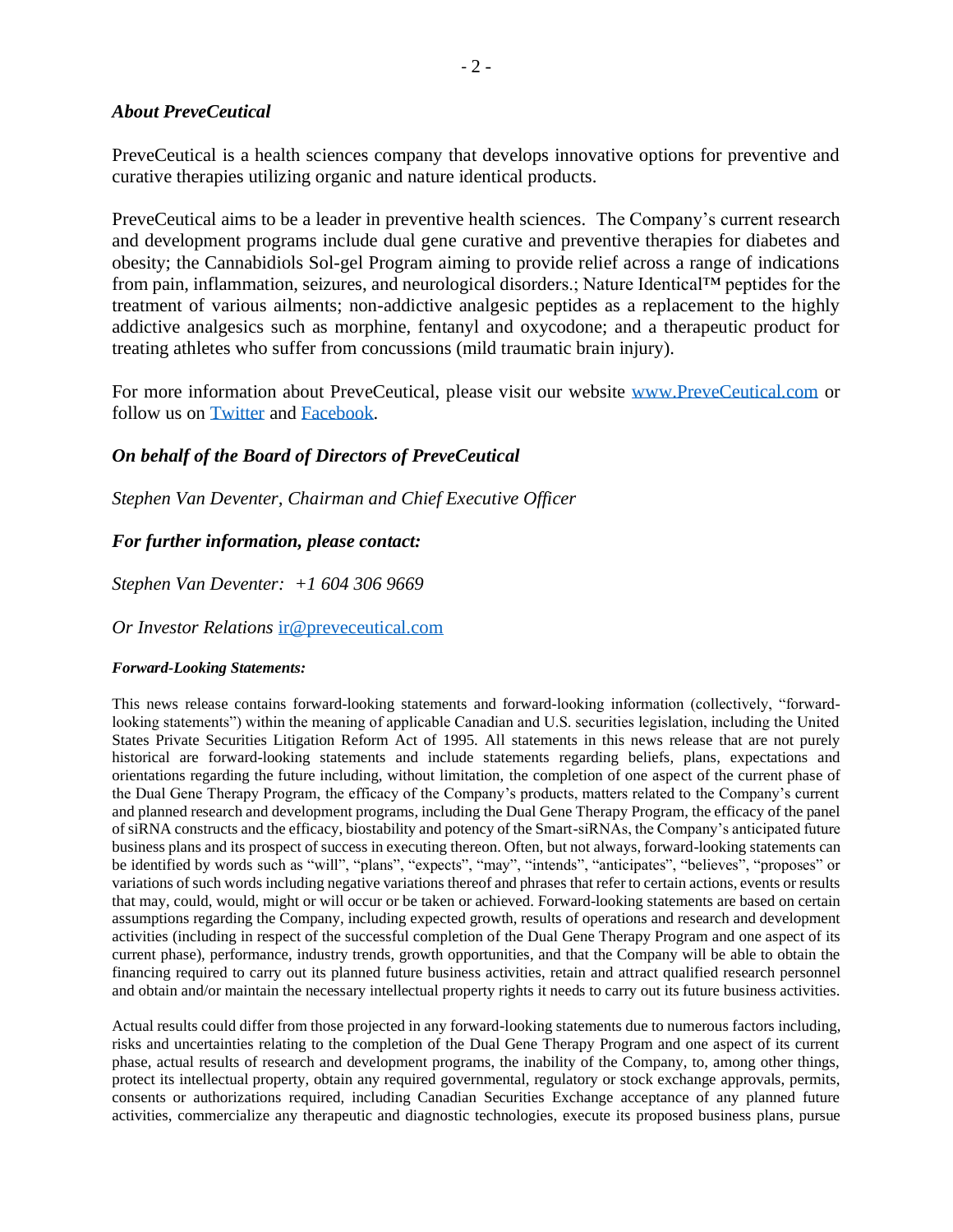#### *About PreveCeutical*

PreveCeutical is a health sciences company that develops innovative options for preventive and curative therapies utilizing organic and nature identical products.

PreveCeutical aims to be a leader in preventive health sciences. The Company's current research and development programs include dual gene curative and preventive therapies for diabetes and obesity; the Cannabidiols Sol-gel Program aiming to provide relief across a range of indications from pain, inflammation, seizures, and neurological disorders.; Nature Identical™ peptides for the treatment of various ailments; non-addictive analgesic peptides as a replacement to the highly addictive analgesics such as morphine, fentanyl and oxycodone; and a therapeutic product for treating athletes who suffer from concussions (mild traumatic brain injury).

For more information about PreveCeutical, please visit our website [www.PreveCeutical.com](http://www.preveceutical.com/) or follow us on [Twitter](http://twitter.com/PreveCeuticals) and [Facebook.](http://www.facebook.com/PreveCeutical)

## *On behalf of the Board of Directors of PreveCeutical*

*Stephen Van Deventer, Chairman and Chief Executive Officer*

## *For further information, please contact:*

*Stephen Van Deventer: +1 604 306 9669*

*Or Investor Relations* [ir@preveceutical.com](mailto:ir@preveceutical.com)

#### *Forward-Looking Statements:*

This news release contains forward-looking statements and forward-looking information (collectively, "forwardlooking statements") within the meaning of applicable Canadian and U.S. securities legislation, including the United States Private Securities Litigation Reform Act of 1995. All statements in this news release that are not purely historical are forward-looking statements and include statements regarding beliefs, plans, expectations and orientations regarding the future including, without limitation, the completion of one aspect of the current phase of the Dual Gene Therapy Program, the efficacy of the Company's products, matters related to the Company's current and planned research and development programs, including the Dual Gene Therapy Program, the efficacy of the panel of siRNA constructs and the efficacy, biostability and potency of the Smart-siRNAs, the Company's anticipated future business plans and its prospect of success in executing thereon. Often, but not always, forward-looking statements can be identified by words such as "will", "plans", "expects", "may", "intends", "anticipates", "believes", "proposes" or variations of such words including negative variations thereof and phrases that refer to certain actions, events or results that may, could, would, might or will occur or be taken or achieved. Forward-looking statements are based on certain assumptions regarding the Company, including expected growth, results of operations and research and development activities (including in respect of the successful completion of the Dual Gene Therapy Program and one aspect of its current phase), performance, industry trends, growth opportunities, and that the Company will be able to obtain the financing required to carry out its planned future business activities, retain and attract qualified research personnel and obtain and/or maintain the necessary intellectual property rights it needs to carry out its future business activities.

Actual results could differ from those projected in any forward-looking statements due to numerous factors including, risks and uncertainties relating to the completion of the Dual Gene Therapy Program and one aspect of its current phase, actual results of research and development programs, the inability of the Company, to, among other things, protect its intellectual property, obtain any required governmental, regulatory or stock exchange approvals, permits, consents or authorizations required, including Canadian Securities Exchange acceptance of any planned future activities, commercialize any therapeutic and diagnostic technologies, execute its proposed business plans, pursue